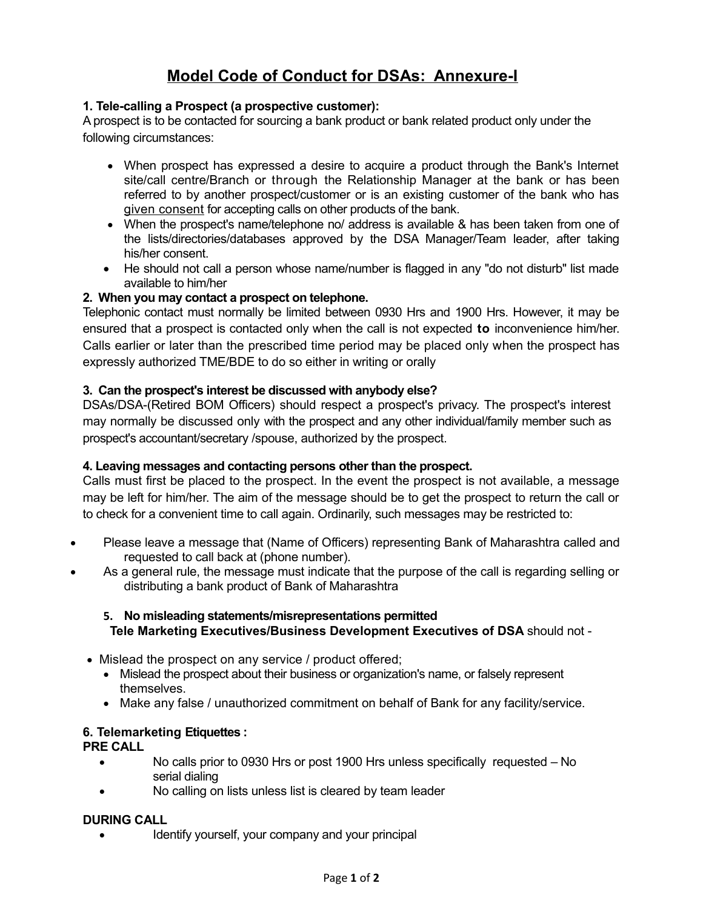# **Model Code of Conduct for DSAs: Annexure-I**

### **1. Tele-calling a Prospect (a prospective customer):**

A prospect is to be contacted for sourcing a bank product or bank related product only under the following circumstances:

- When prospect has expressed a desire to acquire a product through the Bank's Internet site/call centre/Branch or through the Relationship Manager at the bank or has been referred to by another prospect/customer or is an existing customer of the bank who has given consent for accepting calls on other products of the bank.
- · When the prospect's name/telephone no/ address is available & has been taken from one of the lists/directories/databases approved by the DSA Manager/Team leader, after taking his/her consent.
- He should not call a person whose name/number is flagged in any "do not disturb" list made available to him/her

#### **2. When you may contact a prospect on telephone.**

Telephonic contact must normally be limited between 0930 Hrs and 1900 Hrs. However, it may be ensured that a prospect is contacted only when the call is not expected **to** inconvenience him/her. Calls earlier or later than the prescribed time period may be placed only when the prospect has expressly authorized TME/BDE to do so either in writing or orally

#### **3. Can the prospect's interest be discussed with anybody else?**

DSAs/DSA-(Retired BOM Officers) should respect a prospect's privacy. The prospect's interest may normally be discussed only with the prospect and any other individual/family member such as prospect's accountant/secretary /spouse, authorized by the prospect.

#### **4. Leaving messages and contacting persons other than the prospect.**

Calls must first be placed to the prospect. In the event the prospect is not available, a message may be left for him/her. The aim of the message should be to get the prospect to return the call or to check for a convenient time to call again. Ordinarily, such messages may be restricted to:

- · Please leave a message that (Name of Officers) representing Bank of Maharashtra called and requested to call back at (phone number).
- As a general rule, the message must indicate that the purpose of the call is regarding selling or distributing a bank product of Bank of Maharashtra

## **5. No misleading statements/misrepresentations permitted Tele Marketing Executives/Business Development Executives of DSA** should not -

- · Mislead the prospect on any service / product offered;
	- · Mislead the prospect about their business or organization's name, or falsely represent themselves.
	- · Make any false / unauthorized commitment on behalf of Bank for any facility/service.

#### **6. Telemarketing Etiquettes :**

**PRE CALL**

- No calls prior to 0930 Hrs or post 1900 Hrs unless specifically requested No serial dialing
- No calling on lists unless list is cleared by team leader

#### **DURING CALL**

Identify yourself, your company and your principal